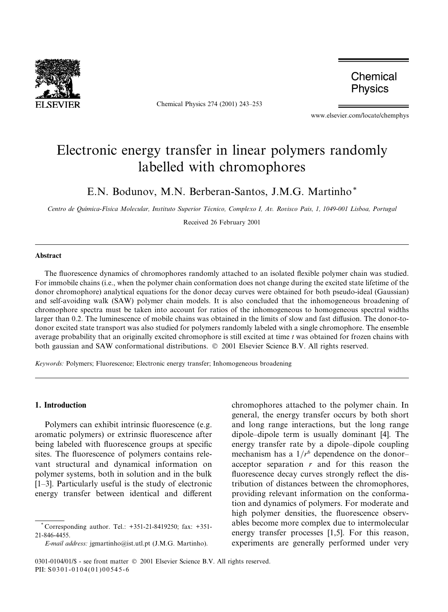

Chemical Physics 274 (2001) 243-253

Chemical **Physics** 

www.elsevier.com/locate/chemphys

# Electronic energy transfer in linear polymers randomly labelled with chromophores

E.N. Bodunov, M.N. Berberan-Santos, J.M.G. Martinho\*

Centro de Química-Física Molecular, Instituto Superior Técnico, Complexo I, Av. Rovisco Pais, 1, 1049-001 Lisboa, Portugal

Received 26 February 2001

### Abstract

The fluorescence dynamics of chromophores randomly attached to an isolated flexible polymer chain was studied. For immobile chains (i.e., when the polymer chain conformation does not change during the excited state lifetime of the donor chromophore) analytical equations for the donor decay curves were obtained for both pseudo-ideal (Gaussian) and self-avoiding walk (SAW) polymer chain models. It is also concluded that the inhomogeneous broadening of chromophore spectra must be taken into account for ratios of the inhomogeneous to homogeneous spectral widths larger than 0.2. The luminescence of mobile chains was obtained in the limits of slow and fast diffusion. The donor-todonor excited state transport was also studied for polymers randomly labeled with a single chromophore. The ensemble average probability that an originally excited chromophore is still excited at time  $t$  was obtained for frozen chains with both gaussian and SAW conformational distributions. © 2001 Elsevier Science B.V. All rights reserved.

Keywords: Polymers; Fluorescence; Electronic energy transfer; Inhomogeneous broadening

# 1. Introduction

Polymers can exhibit intrinsic fluorescence (e.g. aromatic polymers) or extrinsic fluorescence after being labeled with fluorescence groups at specific sites. The fluorescence of polymers contains relevant structural and dynamical information on polymer systems, both in solution and in the bulk  $[1-3]$ . Particularly useful is the study of electronic energy transfer between identical and different

chromophores attached to the polymer chain. In general, the energy transfer occurs by both short and long range interactions, but the long range dipole-dipole term is usually dominant [4]. The energy transfer rate by a dipole-dipole coupling mechanism has a  $1/r^6$  dependence on the donoracceptor separation  $r$  and for this reason the fluorescence decay curves strongly reflect the distribution of distances between the chromophores, providing relevant information on the conformation and dynamics of polymers. For moderate and high polymer densities, the fluorescence observables become more complex due to intermolecular energy transfer processes [1,5]. For this reason, experiments are generally performed under very

Corresponding author. Tel.: +351-21-8419250; fax: +351-21-846-4455.

E-mail address: jgmartinho@ist.utl.pt (J.M.G. Martinho).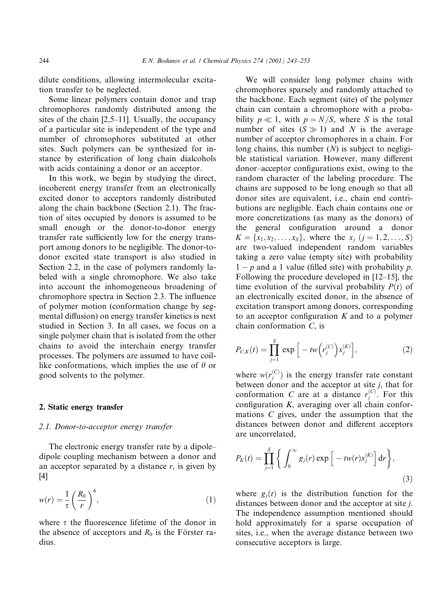dilute conditions, allowing intermolecular excitation transfer to be neglected.

Some linear polymers contain donor and trap chromophores randomly distributed among the sites of the chain [2,5–11]. Usually, the occupancy of a particular site is independent of the type and number of chromophores substituted at other sites. Such polymers can be synthesized for instance by esterification of long chain dialcohols with acids containing a donor or an acceptor.

In this work, we begin by studying the direct, incoherent energy transfer from an electronically excited donor to acceptors randomly distributed along the chain backbone (Section 2.1). The fraction of sites occupied by donors is assumed to be small enough or the donor-to-donor energy transfer rate sufficiently low for the energy transport among donors to be negligible. The donor-todonor excited state transport is also studied in Section 2.2, in the case of polymers randomly labeled with a single chromophore. We also take into account the inhomogeneous broadening of chromophore spectra in Section 2.3. The influence of polymer motion (conformation change by segmental diffusion) on energy transfer kinetics is next studied in Section 3. In all cases, we focus on a single polymer chain that is isolated from the other chains to avoid the interchain energy transfer processes. The polymers are assumed to have coillike conformations, which implies the use of  $\theta$  or good solvents to the polymer.

#### 2. Static energy transfer

#### 2.1. Donor-to-acceptor energy transfer

The electronic energy transfer rate by a dipoledipole coupling mechanism between a donor and an acceptor separated by a distance  $r$ , is given by  $[4]$ 

$$
w(r) = \frac{1}{\tau} \left(\frac{R_0}{r}\right)^6,\tag{1}
$$

where  $\tau$  the fluorescence lifetime of the donor in the absence of acceptors and  $R_0$  is the Förster radius.

We will consider long polymer chains with chromophores sparsely and randomly attached to the backbone. Each segment (site) of the polymer chain can contain a chromophore with a probability  $p \ll 1$ , with  $p = N/S$ , where S is the total number of sites  $(S \gg 1)$  and N is the average number of acceptor chromophores in a chain. For long chains, this number  $(N)$  is subject to negligible statistical variation. However, many different donor-acceptor configurations exist, owing to the random character of the labeling procedure. The chains are supposed to be long enough so that all donor sites are equivalent, i.e., chain end contributions are negligible. Each chain contains one or more concretizations (as many as the donors) of the general configuration around a donor  $K = \{x_1, x_2, \dots, x_s\}$ , where the  $x_i$   $(j = 1, 2, \dots, S)$ are two-valued independent random variables taking a zero value (empty site) with probability  $1-p$  and a 1 value (filled site) with probability p. Following the procedure developed in  $[12-15]$ , the time evolution of the survival probability  $P(t)$  of an electronically excited donor, in the absence of excitation transport among donors, corresponding to an acceptor configuration  $K$  and to a polymer chain conformation  $C$ , is

$$
P_{C,K}(t) = \prod_{j=1}^{S} \exp\Big[-tw(r_j^{(C)})x_j^{(K)}\Big],
$$
 (2)

where  $w(r_i^{(C)})$  is the energy transfer rate constant between donor and the acceptor at site  $j$ , that for conformation C are at a distance  $r_i^{(C)}$ . For this configuration  $K$ , averaging over all chain conformations  $C$  gives, under the assumption that the distances between donor and different acceptors are uncorrelated.

$$
P_K(t) = \prod_{j=1}^S \left\{ \int_0^\infty g_j(r) \exp\left[ -tw(r)x_j^{(K)} \right] dr \right\},\tag{3}
$$

where  $g_i(t)$  is the distribution function for the distances between donor and the acceptor at site *i*. The independence assumption mentioned should hold approximately for a sparse occupation of sites, i.e., when the average distance between two consecutive acceptors is large.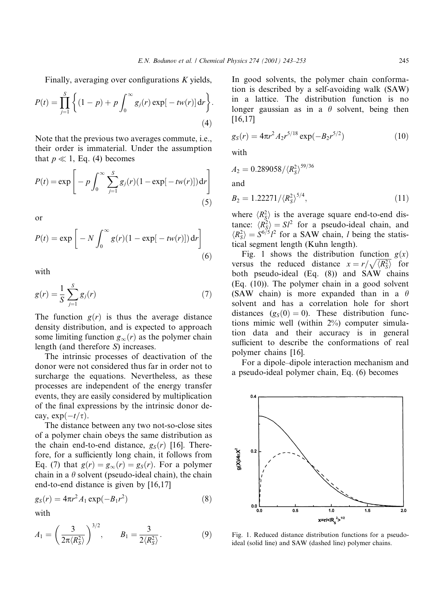Finally, averaging over configurations  $K$  yields,

$$
P(t) = \prod_{j=1}^{S} \left\{ (1-p) + p \int_0^{\infty} g_j(r) \exp[-tw(r)] dr \right\}.
$$
\n(4)

Note that the previous two averages commute, *i.e.*, their order is immaterial. Under the assumption that  $p \ll 1$ , Eq. (4) becomes

$$
P(t) = \exp\left[-p \int_0^\infty \sum_{j=1}^S g_j(r) (1 - \exp[-tw(r)]) dr\right]
$$
\n(5)

 $\Omega$ <sup> $\Omega$ </sup>

$$
P(t) = \exp\left[-N \int_0^\infty g(r)(1 - \exp[-tw(r)]) dr\right]
$$
\n(6)

with

$$
g(r) = \frac{1}{S} \sum_{j=1}^{S} g_j(r)
$$
 (7)

The function  $g(r)$  is thus the average distance density distribution, and is expected to approach some limiting function  $g_{\infty}(r)$  as the polymer chain length (and therefore  $S$ ) increases.

The intrinsic processes of deactivation of the donor were not considered thus far in order not to surcharge the equations. Nevertheless, as these processes are independent of the energy transfer events, they are easily considered by multiplication of the final expressions by the intrinsic donor decay,  $\exp(-t/\tau)$ .

The distance between any two not-so-close sites of a polymer chain obeys the same distribution as the chain end-to-end distance,  $g_S(r)$  [16]. Therefore, for a sufficiently long chain, it follows from Eq. (7) that  $g(r) = g_{\infty}(r) = g_S(r)$ . For a polymer chain in a  $\theta$  solvent (pseudo-ideal chain), the chain end-to-end distance is given by  $[16,17]$ 

$$
g_S(r) = 4\pi r^2 A_1 \exp(-B_1 r^2)
$$
 (8)

with

$$
A_1 = \left(\frac{3}{2\pi \langle R_S^2 \rangle}\right)^{3/2}, \qquad B_1 = \frac{3}{2 \langle R_S^2 \rangle}.
$$
 (9)

In good solvents, the polymer chain conformation is described by a self-avoiding walk (SAW) in a lattice. The distribution function is no longer gaussian as in a  $\theta$  solvent, being then  $[16, 17]$ 

$$
g_S(r) = 4\pi r^2 A_2 r^{5/18} \exp(-B_2 r^{5/2})
$$
 (10)

with

$$
A_2 = 0.289058 / \langle R_S^2 \rangle^{59/36}
$$
  
and  

$$
B_2 = 1.22271 / \langle R_S^2 \rangle^{5/4},
$$

where  $\langle R_s^2 \rangle$  is the average square end-to-end distance:  $\langle R_S^2 \rangle = SI^2$  for a pseudo-ideal chain, and  $\langle R_S^2 \rangle = S^{6/5}I^2$  for a SAW chain, *l* being the statistical segment length (Kuhn length).

Fig. 1 shows the distribution function  $g(x)$ versus the reduced distance  $x = r / \sqrt{\langle R_s^2 \rangle}$  for both pseudo-ideal (Eq. (8)) and SAW chains (Eq. (10)). The polymer chain in a good solvent (SAW chain) is more expanded than in a  $\theta$ solvent and has a correlation hole for short distances  $(g_S(0) = 0)$ . These distribution functions mimic well (within 2%) computer simulation data and their accuracy is in general sufficient to describe the conformations of real polymer chains [16].

For a dipole-dipole interaction mechanism and a pseudo-ideal polymer chain, Eq. (6) becomes



Fig. 1. Reduced distance distribution functions for a pseudoideal (solid line) and SAW (dashed line) polymer chains.

 $(11)$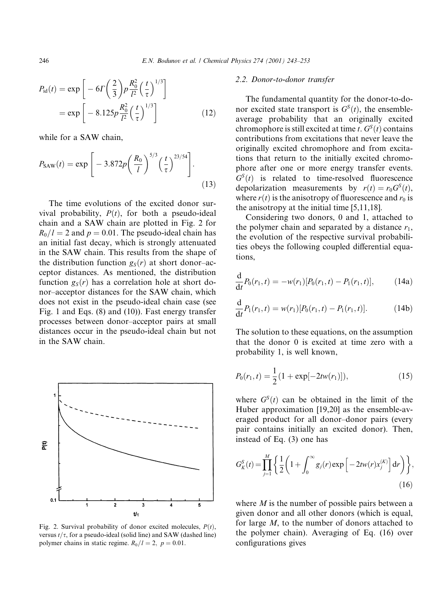$$
P_{\rm id}(t) = \exp\left[-6\Gamma\left(\frac{2}{3}\right)p\frac{R_0^2}{l^2}\left(\frac{t}{\tau}\right)^{1/3}\right]
$$

$$
= \exp\left[-8.125p\frac{R_0^2}{l^2}\left(\frac{t}{\tau}\right)^{1/3}\right]
$$
(12)

while for a SAW chain.

$$
P_{\text{SAW}}(t) = \exp\left[-3.872p\left(\frac{R_0}{l}\right)^{5/3}\left(\frac{t}{\tau}\right)^{23/54}\right].\tag{13}
$$

The time evolutions of the excited donor survival probability,  $P(t)$ , for both a pseudo-ideal chain and a SAW chain are plotted in Fig. 2 for  $R_0/l = 2$  and  $p = 0.01$ . The pseudo-ideal chain has an initial fast decay, which is strongly attenuated in the SAW chain. This results from the shape of the distribution function  $g_S(r)$  at short donor-acceptor distances. As mentioned, the distribution function  $g_S(r)$  has a correlation hole at short donor-acceptor distances for the SAW chain, which does not exist in the pseudo-ideal chain case (see Fig. 1 and Eqs. (8) and (10)). Fast energy transfer processes between donor-acceptor pairs at small distances occur in the pseudo-ideal chain but not in the SAW chain.



Fig. 2. Survival probability of donor excited molecules,  $P(t)$ , versus  $t/\tau$ , for a pseudo-ideal (solid line) and SAW (dashed line) polymer chains in static regime.  $R_0/l = 2$ ,  $p = 0.01$ .

### 2.2. Donor-to-donor transfer

The fundamental quantity for the donor-to-donor excited state transport is  $G^{S}(t)$ , the ensembleaverage probability that an originally excited chromophore is still excited at time t.  $G^{S}(t)$  contains contributions from excitations that never leave the originally excited chromophore and from excitations that return to the initially excited chromophore after one or more energy transfer events.  $G<sup>S</sup>(t)$  is related to time-resolved fluorescence depolarization measurements by  $r(t) = r_0 G<sup>S</sup>(t)$ , where  $r(t)$  is the anisotropy of fluorescence and  $r_0$  is the anisotropy at the initial time  $[5,11,18]$ .

Considering two donors, 0 and 1, attached to the polymer chain and separated by a distance  $r_1$ , the evolution of the respective survival probabilities obeys the following coupled differential equations.

$$
\frac{\mathrm{d}}{\mathrm{d}t}P_0(r_1,t) = -w(r_1)[P_0(r_1,t) - P_1(r_1,t)],\tag{14a}
$$

$$
\frac{\mathrm{d}}{\mathrm{d}t}P_1(r_1,t) = w(r_1)[P_0(r_1,t) - P_1(r_1,t)].\tag{14b}
$$

The solution to these equations, on the assumption that the donor 0 is excited at time zero with a probability 1, is well known,

$$
P_0(r_1, t) = \frac{1}{2} (1 + \exp[-2tw(r_1)]), \qquad (15)
$$

where  $G<sup>S</sup>(t)$  can be obtained in the limit of the Huber approximation [19,20] as the ensemble-averaged product for all donor-donor pairs (every pair contains initially an excited donor). Then, instead of Eq.  $(3)$  one has

$$
G_K^S(t) = \prod_{j=1}^M \left\{ \frac{1}{2} \left( 1 + \int_0^\infty g_j(r) \exp\left[ -2tw(r) x_j^{(K)} \right] dr \right) \right\},\tag{16}
$$

where  $M$  is the number of possible pairs between a given donor and all other donors (which is equal, for large  $M$ , to the number of donors attached to the polymer chain). Averaging of Eq. (16) over configurations gives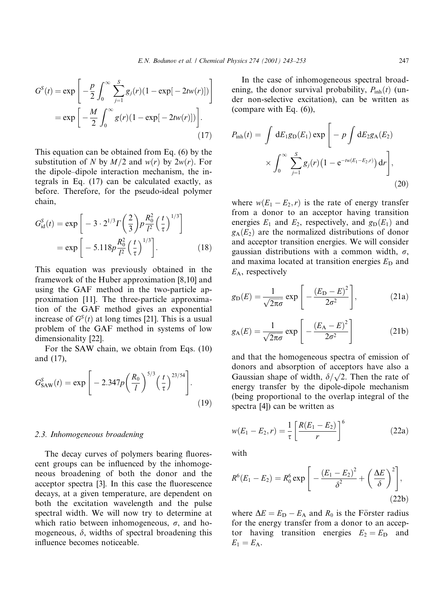$$
G^{S}(t) = \exp \left[ -\frac{p}{2} \int_{0}^{\infty} \sum_{j=1}^{S} g_{j}(r) (1 - \exp[-2tw(r)]) \right]
$$

$$
= \exp \left[ -\frac{M}{2} \int_{0}^{\infty} g(r) (1 - \exp[-2tw(r)]) \right].
$$
(17)

This equation can be obtained from Eq.  $(6)$  by the substitution of N by  $M/2$  and  $w(r)$  by  $2w(r)$ . For the dipole-dipole interaction mechanism, the integrals in Eq. (17) can be calculated exactly, as before. Therefore, for the pseudo-ideal polymer chain,

$$
G_{\rm id}^S(t) = \exp\left[-3 \cdot 2^{1/3} \Gamma\left(\frac{2}{3}\right) p \frac{R_0^2}{l^2} \left(\frac{t}{\tau}\right)^{1/3}\right]
$$

$$
= \exp\left[-5.118 p \frac{R_0^2}{l^2} \left(\frac{t}{\tau}\right)^{1/3}\right].
$$
(18)

This equation was previously obtained in the framework of the Huber approximation [8,10] and using the GAF method in the two-particle approximation [11]. The three-particle approximation of the GAF method gives an exponential increase of  $G<sup>S</sup>(t)$  at long times [21]. This is a usual problem of the GAF method in systems of low dimensionality [22].

For the SAW chain, we obtain from Eqs. (10) and  $(17)$ ,

$$
G_{\text{SAW}}^{S}(t) = \exp\left[-2.347p\left(\frac{R_0}{l}\right)^{5/3}\left(\frac{t}{\tau}\right)^{23/54}\right].\tag{19}
$$

#### 2.3. Inhomogeneous broadening

The decay curves of polymers bearing fluorescent groups can be influenced by the inhomogeneous broadening of both the donor and the acceptor spectra [3]. In this case the fluorescence decays, at a given temperature, are dependent on both the excitation wavelength and the pulse spectral width. We will now try to determine at which ratio between inhomogeneous,  $\sigma$ , and homogeneous,  $\delta$ , widths of spectral broadening this influence becomes noticeable.

In the case of inhomogeneous spectral broadening, the donor survival probability,  $P_{\text{inh}}(t)$  (under non-selective excitation), can be written as (compare with Eq.  $(6)$ ),

$$
P_{\rm inh}(t) = \int dE_1 g_{\rm D}(E_1) \exp\left[-p \int dE_2 g_{\rm A}(E_2) \times \int_0^\infty \sum_{j=1}^S g_j(r) \left(1 - e^{-t w(E_1 - E_2, r)}\right) dr\right],\tag{20}
$$

where  $w(E_1 - E_2, r)$  is the rate of energy transfer from a donor to an acceptor having transition energies  $E_1$  and  $E_2$ , respectively, and  $g_D(E_1)$  and  $g_{A}(E_2)$  are the normalized distributions of donor and acceptor transition energies. We will consider gaussian distributions with a common width,  $\sigma$ , and maxima located at transition energies  $E_D$  and  $E_A$ , respectively

$$
g_{\rm D}(E) = \frac{1}{\sqrt{2\pi\sigma}} \exp\left[-\frac{(E_{\rm D} - E)^2}{2\sigma^2}\right],\tag{21a}
$$

$$
g_{A}(E) = \frac{1}{\sqrt{2\pi\sigma}} \exp\left[-\frac{(E_{A} - E)^{2}}{2\sigma^{2}}\right]
$$
 (21b)

and that the homogeneous spectra of emission of donors and absorption of acceptors have also a Gaussian shape of width,  $\delta/\sqrt{2}$ . Then the rate of energy transfer by the dipole-dipole mechanism (being proportional to the overlap integral of the spectra [4]) can be written as

$$
w(E_1 - E_2, r) = \frac{1}{\tau} \left[ \frac{R(E_1 - E_2)}{r} \right]^6
$$
 (22a)

with

$$
R^{6}(E_1 - E_2) = R_0^6 \exp\left[-\frac{(E_1 - E_2)^2}{\delta^2} + \left(\frac{\Delta E}{\delta}\right)^2\right],
$$
\n(22b)

where  $\Delta E = E_D - E_A$  and  $R_0$  is the Förster radius for the energy transfer from a donor to an acceptor having transition energies  $E_2 = E_D$  and  $E_1 = E_A.$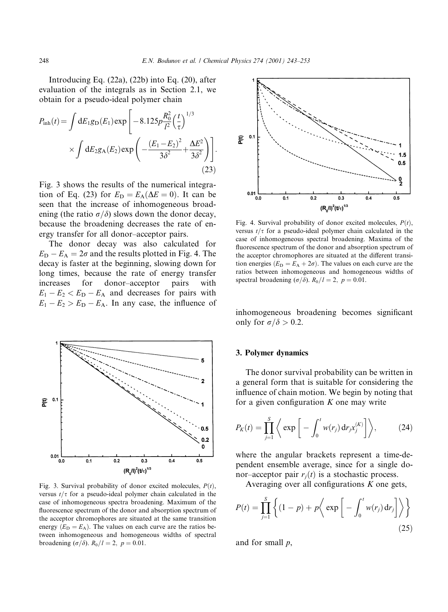Introducing Eq. (22a), (22b) into Eq. (20), after evaluation of the integrals as in Section 2.1, we obtain for a pseudo-ideal polymer chain

$$
P_{\rm inh}(t) = \int dE_1 g_{\rm D}(E_1) \exp\left[-8.125p \frac{R_0^2}{l^2} \left(\frac{t}{\tau}\right)^{1/3} \times \int dE_2 g_{\rm A}(E_2) \exp\left(-\frac{(E_1 - E_2)^2}{3\delta^2} + \frac{\Delta E^2}{3\delta^2}\right)\right].
$$
\n(23)

Fig. 3 shows the results of the numerical integration of Eq. (23) for  $E_D = E_A(\Delta E = 0)$ . It can be seen that the increase of inhomogeneous broadening (the ratio  $\sigma/\delta$ ) slows down the donor decay. because the broadening decreases the rate of energy transfer for all donor-acceptor pairs.

The donor decay was also calculated for  $E_D - E_A = 2\sigma$  and the results plotted in Fig. 4. The decay is faster at the beginning, slowing down for long times, because the rate of energy transfer increases for donor-acceptor pairs with  $E_1 - E_2 < E_D - E_A$  and decreases for pairs with  $E_1 - E_2 > E_D - E_A$ . In any case, the influence of



Fig. 3. Survival probability of donor excited molecules,  $P(t)$ , versus  $t/\tau$  for a pseudo-ideal polymer chain calculated in the case of inhomogeneous spectra broadening. Maximum of the fluorescence spectrum of the donor and absorption spectrum of the acceptor chromophores are situated at the same transition energy  $(E_D = E_A)$ . The values on each curve are the ratios between inhomogeneous and homogeneous widths of spectral broadening  $(\sigma/\delta)$ .  $R_0/l = 2$ ,  $p = 0.01$ .



Fig. 4. Survival probability of donor excited molecules,  $P(t)$ , versus  $t/\tau$  for a pseudo-ideal polymer chain calculated in the case of inhomogeneous spectral broadening. Maxima of the fluorescence spectrum of the donor and absorption spectrum of the acceptor chromophores are situated at the different transition energies ( $E_D = E_A + 2\sigma$ ). The values on each curve are the ratios between inhomogeneous and homogeneous widths of spectral broadening  $(\sigma/\delta)$ .  $R_0/l = 2$ ,  $p = 0.01$ .

inhomogeneous broadening becomes significant only for  $\sigma/\delta > 0.2$ .

#### 3. Polymer dynamics

The donor survival probability can be written in a general form that is suitable for considering the influence of chain motion. We begin by noting that for a given configuration  $K$  one may write

$$
P_K(t) = \prod_{j=1}^S \left\langle \exp \left[ - \int_0^t w(r_j) \, dr_j x_j^{(K)} \right] \right\rangle, \tag{24}
$$

where the angular brackets represent a time-dependent ensemble average, since for a single donor-acceptor pair  $r_i(t)$  is a stochastic process.

Averaging over all configurations  $K$  one gets,

$$
P(t) = \prod_{j=1}^{S} \left\{ (1-p) + p \left\langle \exp \left[ - \int_{0}^{t} w(r_j) dr_j \right] \right\rangle \right\}
$$
\n(25)

and for small  $p$ ,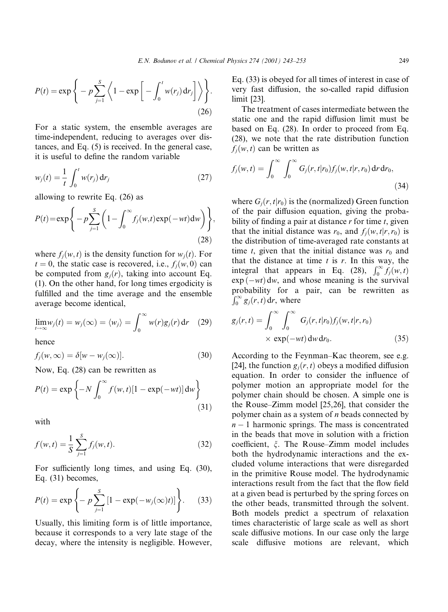$$
P(t) = \exp\bigg\{-p\sum_{j=1}^{S}\bigg\langle 1 - \exp\bigg[-\int_0^t w(r_j) dr_j\bigg] \bigg\rangle\bigg\}.
$$
\n(26)

For a static system, the ensemble averages are time-independent, reducing to averages over distances, and Eq.  $(5)$  is received. In the general case, it is useful to define the random variable

$$
w_j(t) = \frac{1}{t} \int_0^t w(r_j) dr_j
$$
 (27)

allowing to rewrite Eq.  $(26)$  as

$$
P(t) = \exp\Bigg\{-p\sum_{j=1}^{S}\bigg(1-\int_0^\infty f_j(w,t)\exp(-wt)\mathrm{d}w\bigg)\Bigg\},\tag{28}
$$

where  $f_i(w, t)$  is the density function for  $w_i(t)$ . For  $t = 0$ , the static case is recovered, i.e.,  $f_i(w, 0)$  can be computed from  $g_i(r)$ , taking into account Eq. (1). On the other hand, for long times ergodicity is fulfilled and the time average and the ensemble average become identical,

$$
\lim_{t \to \infty} w_j(t) = w_j(\infty) = \langle w_j \rangle = \int_0^\infty w(r) g_j(r) \, \mathrm{d}r \quad (29)
$$

hence

$$
f_j(w, \infty) = \delta[w - w_j(\infty)].
$$
\n(30)

Now, Eq. (28) can be rewritten as

$$
P(t) = \exp\left\{-N \int_0^\infty f(w, t)[1 - \exp(-wt)] dw\right\}
$$
\n(31)

with

$$
f(w,t) = \frac{1}{S} \sum_{j=1}^{S} f_j(w,t).
$$
 (32)

For sufficiently long times, and using Eq. (30), Eq.  $(31)$  becomes,

$$
P(t) = \exp \left\{-p \sum_{j=1}^{S} [1 - \exp(-w_j(\infty)t)]\right\}.
$$
 (33)

Usually, this limiting form is of little importance, because it corresponds to a very late stage of the decay, where the intensity is negligible. However, Eq.  $(33)$  is obeyed for all times of interest in case of very fast diffusion, the so-called rapid diffusion  $limit$  [23].

The treatment of cases intermediate between the static one and the rapid diffusion limit must be based on Eq. (28). In order to proceed from Eq. (28), we note that the rate distribution function  $f_i(w, t)$  can be written as

$$
f_j(w,t) = \int_0^\infty \int_0^\infty G_j(r,t|r_0) f_j(w,t|r,r_0) dr dr_0,
$$
\n(34)

where  $G_i(r, t|r_0)$  is the (normalized) Green function of the pair diffusion equation, giving the probability of finding a pair at distance  $r$  for time  $t$ , given that the initial distance was  $r_0$ , and  $f_i(w, t|r, r_0)$  is the distribution of time-averaged rate constants at time t, given that the initial distance was  $r_0$  and that the distance at time  $t$  is  $r$ . In this way, the integral that appears in Eq. (28),  $\int_0^\infty f_j(w,t)$  $\exp(-wt)$  dw, and whose meaning is the survival probability for a pair, can be rewritten as  $\int_0^\infty g_i(r,t) dr$ , where

$$
g_j(r,t) = \int_0^\infty \int_0^\infty G_j(r,t|r_0) f_j(w,t|r,r_0)
$$
  
× exp(-*wt*) dw dr<sub>0</sub>. (35)

According to the Feynman-Kac theorem, see e.g. [24], the function  $g_i(r, t)$  obeys a modified diffusion equation. In order to consider the influence of polymer motion an appropriate model for the polymer chain should be chosen. A simple one is the Rouse–Zimm model [25,26], that consider the polymer chain as a system of  $n$  beads connected by  $n-1$  harmonic springs. The mass is concentrated in the beads that move in solution with a friction coefficient,  $\xi$ . The Rouse-Zimm model includes both the hydrodynamic interactions and the excluded volume interactions that were disregarded in the primitive Rouse model. The hydrodynamic interactions result from the fact that the flow field at a given bead is perturbed by the spring forces on the other beads, transmitted through the solvent. Both models predict a spectrum of relaxation times characteristic of large scale as well as short scale diffusive motions. In our case only the large scale diffusive motions are relevant, which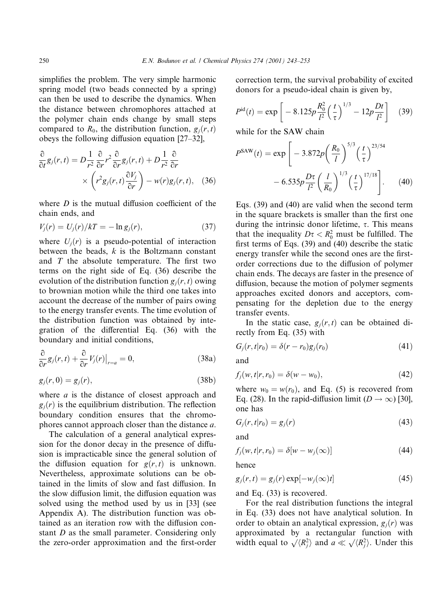simplifies the problem. The very simple harmonic spring model (two beads connected by a spring) can then be used to describe the dynamics. When the distance between chromophores attached at the polymer chain ends change by small steps compared to  $R_0$ , the distribution function,  $g_i(r, t)$ obeys the following diffusion equation  $[27-32]$ ,

$$
\frac{\partial}{\partial t}g_j(r,t) = D\frac{1}{r^2}\frac{\partial}{\partial r}r^2\frac{\partial}{\partial r}g_j(r,t) + D\frac{1}{r^2}\frac{\partial}{\partial r} \times \left(r^2g_j(r,t)\frac{\partial V_j}{\partial r}\right) - w(r)g_j(r,t), \quad (36)
$$

where  $D$  is the mutual diffusion coefficient of the chain ends, and

$$
V_j(r) = U_j(r)/kT = -\ln g_j(r),
$$
\n(37)

where  $U_i(r)$  is a pseudo-potential of interaction between the beads,  $k$  is the Boltzmann constant and  $T$  the absolute temperature. The first two terms on the right side of Eq.  $(36)$  describe the evolution of the distribution function  $g_i(r, t)$  owing to brownian motion while the third one takes into account the decrease of the number of pairs owing to the energy transfer events. The time evolution of the distribution function was obtained by integration of the differential Eq. (36) with the boundary and initial conditions,

$$
\frac{\partial}{\partial r}g_j(r,t) + \frac{\partial}{\partial r}V_j(r)|_{r=a} = 0,
$$
\n(38a)

$$
g_j(r,0) = g_j(r),\tag{38b}
$$

where  $a$  is the distance of closest approach and  $g_i(r)$  is the equilibrium distribution. The reflection boundary condition ensures that the chromophores cannot approach closer than the distance a.

The calculation of a general analytical expression for the donor decay in the presence of diffusion is impracticable since the general solution of the diffusion equation for  $g(r, t)$  is unknown. Nevertheless, approximate solutions can be obtained in the limits of slow and fast diffusion. In the slow diffusion limit, the diffusion equation was solved using the method used by us in [33] (see Appendix A). The distribution function was obtained as an iteration row with the diffusion constant  $D$  as the small parameter. Considering only the zero-order approximation and the first-order correction term, the survival probability of excited donors for a pseudo-ideal chain is given by,

$$
P^{\rm id}(t) = \exp\left[-8.125p\frac{R_0^2}{l^2}\left(\frac{t}{\tau}\right)^{1/3} - 12p\frac{Dt}{l^2}\right] \quad (39)
$$

while for the SAW chain

$$
P^{\text{SAW}}(t) = \exp\left[-3.872p\left(\frac{R_0}{l}\right)^{5/3}\left(\frac{t}{\tau}\right)^{23/54}\right] - 6.535p\frac{D\tau}{l^2}\left(\frac{l}{R_0}\right)^{1/3}\left(\frac{t}{\tau}\right)^{17/18}\right].
$$
 (40)

Eqs.  $(39)$  and  $(40)$  are valid when the second term in the square brackets is smaller than the first one during the intrinsic donor lifetime,  $\tau$ . This means that the inequality  $D\tau < R_0^2$  must be fulfilled. The first terms of Eqs.  $(39)$  and  $(40)$  describe the static energy transfer while the second ones are the firstorder corrections due to the diffusion of polymer chain ends. The decays are faster in the presence of diffusion, because the motion of polymer segments approaches excited donors and acceptors, compensating for the depletion due to the energy transfer events.

In the static case,  $g_i(r, t)$  can be obtained directly from Eq. (35) with

$$
G_j(r, t|r_0) = \delta(r - r_0)g_j(r_0)
$$
\n(41)

and

$$
f_j(w,t|r,r_0) = \delta(w-w_0),\tag{42}
$$

where  $w_0 = w(r_0)$ , and Eq. (5) is recovered from Eq. (28). In the rapid-diffusion limit  $(D \rightarrow \infty)$  [30], one has

$$
G_j(r,t|r_0) = g_j(r) \tag{43}
$$

and

$$
f_j(w, t|r, r_0) = \delta[w - w_j(\infty)] \tag{44}
$$

hence

$$
g_j(r,t) = g_j(r) \exp[-w_j(\infty)t]
$$
\n(45)

and Eq.  $(33)$  is recovered.

For the real distribution functions the integral in Eq. (33) does not have analytical solution. In order to obtain an analytical expression,  $g_i(r)$  was approximated by a rectangular function with width equal to  $\sqrt{\langle R_i^2 \rangle}$  and  $a \ll \sqrt{\langle R_i^2 \rangle}$ . Under this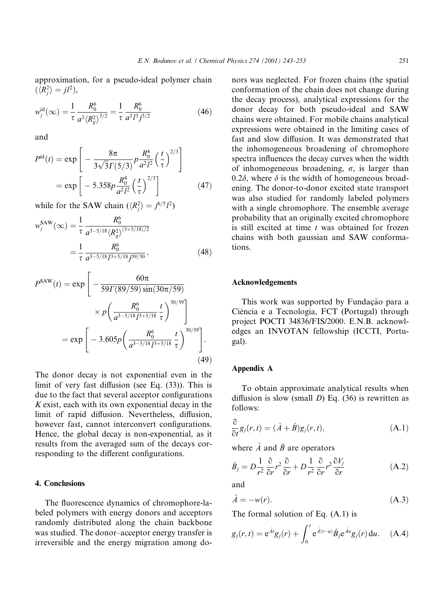approximation, for a pseudo-ideal polymer chain  $(\langle R_i^2 \rangle = j l^2),$ 

$$
w_j^{\rm id}(\infty) = \frac{1}{\tau} \frac{R_0^6}{a^3 \langle R_g^2 \rangle^{3/2}} = \frac{1}{\tau} \frac{R_0^6}{a^3 l^3 j^{3/2}}
$$
(46)

and

$$
P^{\text{id}}(t) = \exp\left[-\frac{8\pi}{3\sqrt{3}\Gamma(5/3)}P\frac{R_0^4}{a^2l^2}\left(\frac{t}{\tau}\right)^{2/3}\right]
$$

$$
= \exp\left[-5.358p\frac{R_0^4}{a^2l^2}\left(\frac{t}{\tau}\right)^{2/3}\right]
$$
(47)

while for the SAW chain  $(\langle R_i^2 \rangle = j^{6/5} l^2)$ 

$$
w_j^{\text{SAW}}(\infty) = \frac{1}{\tau} \frac{R_0^6}{a^{3-5/18} \langle R_g^2 \rangle^{(3+5/18)/2}}
$$

$$
= \frac{1}{\tau} \frac{R_0^6}{a^{3-5/18} l^{3+5/18} j^{59/30}},
$$
(48)

$$
P^{\text{SAW}}(t) = \exp\left[-\frac{60\pi}{59\Gamma(89/59)\sin(30\pi/59)}\n\times p\left(\frac{R_0^6}{a^{3-5/18}l^{3+5/18}}\frac{t}{\tau}\right)^{30/59}\right]\n= \exp\left[-3.605p\left(\frac{R_0^6}{a^{3-5/18}l^{3+5/18}}\frac{t}{\tau}\right)^{30/59}\right].
$$
\n(49)

The donor decay is not exponential even in the limit of very fast diffusion (see Eq.  $(33)$ ). This is due to the fact that several acceptor configurations  $K$  exist, each with its own exponential decay in the limit of rapid diffusion. Nevertheless, diffusion, however fast, cannot interconvert configurations. Hence, the global decay is non-exponential, as it results from the averaged sum of the decays corresponding to the different configurations.

## 4. Conclusions

The fluorescence dynamics of chromophore-labeled polymers with energy donors and acceptors randomly distributed along the chain backbone was studied. The donor-acceptor energy transfer is irreversible and the energy migration among donors was neglected. For frozen chains (the spatial conformation of the chain does not change during the decay process), analytical expressions for the donor decay for both pseudo-ideal and SAW chains were obtained. For mobile chains analytical expressions were obtained in the limiting cases of fast and slow diffusion. It was demonstrated that the inhomogeneous broadening of chromophore spectra influences the decay curves when the width of inhomogeneous broadening,  $\sigma$ , is larger than 0.2 $\delta$ , where  $\delta$  is the width of homogeneous broadening. The donor-to-donor excited state transport was also studied for randomly labeled polymers with a single chromophore. The ensemble average probability that an originally excited chromophore is still excited at time  $t$  was obtained for frozen chains with both gaussian and SAW conformations.

#### **Acknowledgements**

This work was supported by Fundação para a Ciência e a Tecnologia, FCT (Portugal) through project POCTI 34836/FIS/2000. E.N.B. acknowledges an INVOTAN fellowship (ICCTI, Portugal).

#### Appendix A

To obtain approximate analytical results when diffusion is slow (small  $D$ ) Eq. (36) is rewritten as follows:

$$
\frac{\partial}{\partial t}g_j(r,t) = (\hat{A} + \hat{B})g_j(r,t),
$$
\n(A.1)

where  $\hat{A}$  and  $\hat{B}$  are operators

$$
\hat{B}_j = D \frac{1}{r^2} \frac{\partial}{\partial r} r^2 \frac{\partial}{\partial r} + D \frac{1}{r^2} \frac{\partial}{\partial r} r^2 \frac{\partial V_j}{\partial r}
$$
(A.2)

and

$$
\hat{A} = -w(r). \tag{A.3}
$$

The formal solution of Eq.  $(A.1)$  is

$$
g_j(r,t) = e^{\hat{A}t}g_j(r) + \int_0^t e^{\hat{A}(t-u)}\hat{B}_j e^{\hat{A}u}g_j(r) du.
$$
 (A.4)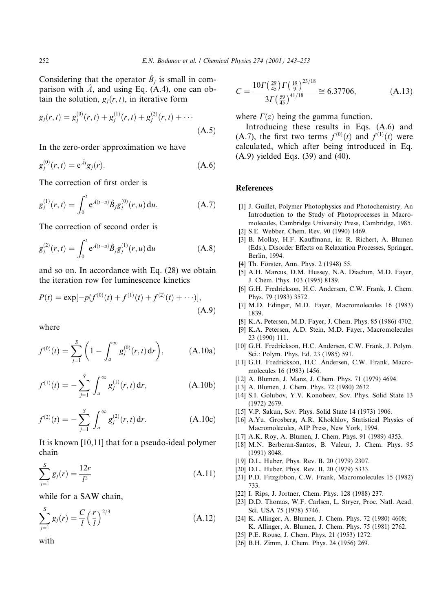Considering that the operator  $\hat{B}_i$  is small in comparison with  $\hat{A}$ , and using Eq. (A.4), one can obtain the solution,  $g_i(r, t)$ , in iterative form

$$
g_j(r,t) = g_j^{(0)}(r,t) + g_j^{(1)}(r,t) + g_j^{(2)}(r,t) + \cdots
$$
\n(A.5)

In the zero-order approximation we have

$$
g_j^{(0)}(r,t) = e^{\hat{A}t}g_j(r).
$$
 (A.6)

The correction of first order is

$$
g_j^{(1)}(r,t) = \int_0^t e^{\hat{A}(t-u)} \hat{B}_j g_j^{(0)}(r,u) du.
$$
 (A.7)

The correction of second order is

$$
g_j^{(2)}(r,t) = \int_0^t e^{\hat{A}(t-u)} \hat{B}_j g_j^{(1)}(r,u) du \qquad (A.8)
$$

and so on. In accordance with Eq. (28) we obtain the iteration row for luminescence kinetics

$$
P(t) = \exp[-p(f^{(0)}(t) + f^{(1)}(t) + f^{(2)}(t) + \cdots)],
$$
\n(A.9)

where

$$
f^{(0)}(t) = \sum_{j=1}^{S} \left( 1 - \int_{a}^{\infty} g_j^{(0)}(r, t) dr \right), \quad (A.10a)
$$

$$
f^{(1)}(t) = -\sum_{j=1}^{S} \int_{a}^{\infty} g_j^{(1)}(r, t) dr,
$$
 (A.10b)

$$
f^{(2)}(t) = -\sum_{j=1}^{S} \int_{a}^{\infty} g_j^{(2)}(r, t) dr.
$$
 (A.10c)

It is known  $[10,11]$  that for a pseudo-ideal polymer chain

$$
\sum_{j=1}^{S} g_j(r) = \frac{12r}{l^2}
$$
\n(A.11)

while for a SAW chain,

$$
\sum_{j=1}^{S} g_j(r) = \frac{C}{l} \left(\frac{r}{l}\right)^{2/3}
$$
 (A.12)

with

$$
C = \frac{10\Gamma\left(\frac{29}{45}\right)\Gamma\left(\frac{19}{9}\right)^{23/18}}{3\Gamma\left(\frac{59}{45}\right)^{41/18}} \cong 6.37706,\tag{A.13}
$$

where  $\Gamma(z)$  being the gamma function.

Introducing these results in Eqs. (A.6) and (A.7), the first two terms  $f^{(0)}(t)$  and  $f^{(1)}(t)$  were calculated, which after being introduced in Eq.  $(A.9)$  yielded Eqs.  $(39)$  and  $(40)$ .

### **References**

- [1] J. Guillet, Polymer Photophysics and Photochemistry. An Introduction to the Study of Photoprocesses in Macromolecules, Cambridge University Press, Cambridge, 1985.
- [2] S.E. Webber, Chem. Rev. 90 (1990) 1469.
- [3] B. Mollay, H.F. Kauffmann, in: R. Richert, A. Blumen (Eds.), Disorder Effects on Relaxation Processes, Springer, Berlin, 1994.
- [4] Th. Förster, Ann. Phys. 2 (1948) 55.
- [5] A.H. Marcus, D.M. Hussey, N.A. Diachun, M.D. Fayer, J. Chem. Phys. 103 (1995) 8189.
- [6] G.H. Fredrickson, H.C. Andersen, C.W. Frank, J. Chem. Phys. 79 (1983) 3572.
- [7] M.D. Edinger, M.D. Fayer, Macromolecules 16 (1983) 1839.
- [8] K.A. Petersen, M.D. Fayer, J. Chem. Phys. 85 (1986) 4702.
- [9] K.A. Petersen, A.D. Stein, M.D. Fayer, Macromolecules 23 (1990) 111.
- [10] G.H. Fredrickson, H.C. Andersen, C.W. Frank, J. Polym. Sci.: Polym. Phys. Ed. 23 (1985) 591.
- [11] G.H. Fredrickson, H.C. Andersen, C.W. Frank, Macromolecules 16 (1983) 1456.
- [12] A. Blumen, J. Manz, J. Chem. Phys. 71 (1979) 4694.
- [13] A. Blumen, J. Chem. Phys. 72 (1980) 2632.
- [14] S.I. Golubov, Y.V. Konobeev, Sov. Phys. Solid State 13  $(1972)$  2679.
- [15] V.P. Sakun, Sov. Phys. Solid State 14 (1973) 1906.
- [16] A.Yu. Grosberg, A.R. Khokhlov, Statistical Physics of Macromolecules, AIP Press, New York, 1994.
- [17] A.K. Roy, A. Blumen, J. Chem. Phys. 91 (1989) 4353.
- [18] M.N. Berberan-Santos, B. Valeur, J. Chem. Phys. 95  $(1991) 8048.$
- [19] D.L. Huber, Phys. Rev. B. 20 (1979) 2307.
- [20] D.L. Huber, Phys. Rev. B. 20 (1979) 5333.
- [21] P.D. Fitzgibbon, C.W. Frank, Macromolecules 15 (1982) 733
- [22] I. Rips, J. Jortner, Chem. Phys. 128 (1988) 237.
- [23] D.D. Thomas, W.F. Carlsen, L. Stryer, Proc. Natl. Acad. Sci. USA 75 (1978) 5746.
- [24] K. Allinger, A. Blumen, J. Chem. Phys. 72 (1980) 4608; K. Allinger, A. Blumen, J. Chem. Phys. 75 (1981) 2762.
- [25] P.E. Rouse, J. Chem. Phys. 21 (1953) 1272.
- [26] B.H. Zimm, J. Chem. Phys. 24 (1956) 269.